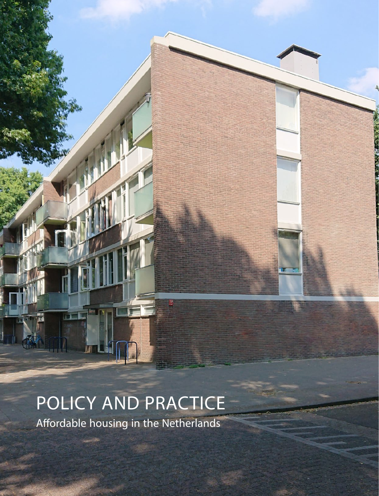# POLICY AND PRACTICE

Affordable housing in the Netherlands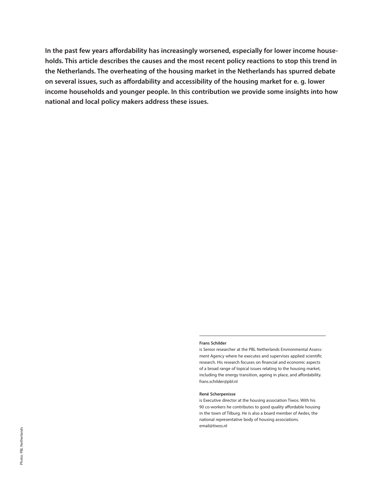**In the past few years affordability has increasingly worsened, especially for lower income households. This article describes the causes and the most recent policy reactions to stop this trend in the Netherlands. The overheating of the housing market in the Netherlands has spurred debate on several issues, such as affordability and accessibility of the housing market for e. g. lower income households and younger people. In this contribution we provide some insights into how national and local policy makers address these issues.**

#### **Frans Schilder**

is Senior researcher at the PBL Netherlands Environmental Assessment Agency where he executes and supervises applied scientific research. His research focuses on financial and economic aspects of a broad range of topical issues relating to the housing market, including the energy transition, ageing in place, and affordability. frans.schilder@pbl.nl

#### **René Scherpenisse**

is Executive director at the housing association Tiwos. With his 90 co-workers he contributes to good quality affordable housing in the town of Tilburg. He is also a board member of Aedes, the national representative body of housing associations. email@tiwos.nl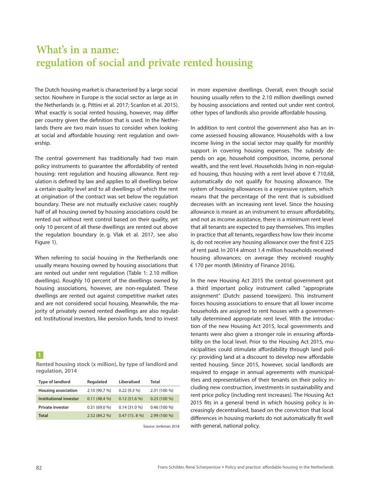## **What's in a name: regulation of social and private rented housing**

The Dutch housing market is characterised by a large social sector. Nowhere in Europe is the social sector as large as in the Netherlands (e. g. Pittini et al. 2017; Scanlon et al. 2015). What exactly is social rented housing, however, may differ per country given the definition that is used. In the Netherlands there are two main issues to consider when looking at social and affordable housing: rent regulation and ownership.

The central government has traditionally had two main policy instruments to guarantee the affordability of rented housing: rent regulation and housing allowance. Rent regulation is defined by law and applies to all dwellings below a certain quality level and to all dwellings of which the rent at origination of the contract was set below the regulation boundary. These are not mutually exclusive cases: roughly half of all housing owned by housing associations could be rented out without rent control based on their quality, yet only 10 percent of all these dwellings are rented out above the regulation boundary (e. g. Vlak et al. 2017, see also Figure 1).

When referring to social housing in the Netherlands one usually means housing owned by housing associations that are rented out under rent regulation (Table 1: 2.10 million dwellings). Roughly 10 percent of the dwellings owned by housing associations, however, are non-regulated. These dwellings are rented out against competitive market rates and are not considered social housing. Meanwhile, the majority of privately owned rented dwellings are also regulated. Institutional investors, like pension funds, tend to invest

#### **1**

**Rented housing stock (x million), by type of landlord and regulation, 2014**

| <b>Type of landlord</b>    | Regulated      | Liberalised    | Total         |
|----------------------------|----------------|----------------|---------------|
| <b>Housing association</b> | 2.10 (90.7 %)  | 0.22(9.3%)     | 2.31 (100 %)  |
| Institutional investor     | $0.11(48.4\%)$ | 0.12(51.6%)    | $0.23(100\%)$ |
| <b>Private investor</b>    | 0.31(69.0%     | 0.14(31.0%     | $0.46(100\%)$ |
| <b>Total</b>               | 2.52 (84.2 %)  | $0.47(15.8\%)$ | 2.99 (100 %)  |

Source: Jonkman 2018

in more expensive dwellings. Overall, even though social housing usually refers to the 2.10 million dwellings owned by housing associations and rented out under rent control, other types of landlords also provide affordable housing.

In addition to rent control the government also has an income assessed housing allowance. Households with a low income living in the social sector may qualify for monthly support in covering housing expenses. The subsidy depends on age, household composition, income, personal wealth, and the rent level. Households living in non-regulated housing, thus housing with a rent level above  $\epsilon$  710,68, automatically do not qualify for housing allowance. The system of housing allowances is a regressive system, which means that the percentage of the rent that is subsidised decreases with an increasing rent level. Since the housing allowance is meant as an instrument to ensure affordability, and not as income assistance, there is a minimum rent level that all tenants are expected to pay themselves. This implies in practice that all tenants, regardless how low their income is, do not receive any housing allowance over the first  $\epsilon$  225 of rent paid. In 2014 almost 1.4 million households received housing allowances; on average they received roughly € 170 per month (Ministry of Finance 2016).

In the new Housing Act 2015 the central government got a third important policy instrument called "appropriate assignment" (Dutch: passend toewijzen). This instrument forces housing associations to ensure that all lower income households are assigned to rent houses with a governmentally determined appropriate rent level. With the introduction of the new Housing Act 2015, local governments and tenants were also given a stronger role in ensuring affordability on the local level. Prior to the Housing Act 2015, municipalities could stimulate affordability through land policy: providing land at a discount to develop new affordable rented housing. Since 2015, however, social landlords are required to engage in annual agreements with municipalities and representatives of their tenants on their policy including new construction, investments in sustainability and rent price policy (including rent increases). The Housing Act 2015 fits in a general trend in which housing policy is increasingly decentralised, based on the conviction that local differences in housing markets do not automatically fit well with general, national policy.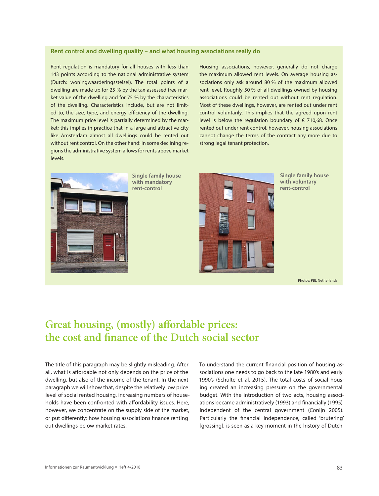#### **Rent control and dwelling quality – and what housing associations really do**

Rent regulation is mandatory for all houses with less than 143 points according to the national administrative system (Dutch: woningwaarderingsstelsel). The total points of a dwelling are made up for 25 % by the tax-assessed free market value of the dwelling and for 75 % by the characteristics of the dwelling. Characteristics include, but are not limited to, the size, type, and energy efficiency of the dwelling. The maximum price level is partially determined by the market; this implies in practice that in a large and attractive city like Amsterdam almost all dwellings could be rented out without rent control. On the other hand: in some declining regions the administrative system allows for rents above market levels.

Housing associations, however, generally do not charge the maximum allowed rent levels. On average housing associations only ask around 80 % of the maximum allowed rent level. Roughly 50 % of all dwellings owned by housing associations could be rented out without rent regulation. Most of these dwellings, however, are rented out under rent control voluntarily. This implies that the agreed upon rent level is below the regulation boundary of  $\epsilon$  710,68. Once rented out under rent control, however, housing associations cannot change the terms of the contract any more due to strong legal tenant protection.



**Single family house with mandatory rent-control**



**Single family house with voluntary rent-control**

Photos: PBL Netherlands

# **Great housing, (mostly) affordable prices: the cost and finance of the Dutch social sector**

The title of this paragraph may be slightly misleading. After all, what is affordable not only depends on the price of the dwelling, but also of the income of the tenant. In the next paragraph we will show that, despite the relatively low price level of social rented housing, increasing numbers of households have been confronted with affordability issues. Here, however, we concentrate on the supply side of the market, or put differently: how housing associations finance renting out dwellings below market rates.

To understand the current financial position of housing associations one needs to go back to the late 1980's and early 1990's (Schulte et al. 2015). The total costs of social housing created an increasing pressure on the governmental budget. With the introduction of two acts, housing associations became administratively (1993) and financially (1995) independent of the central government (Conijn 2005). Particularly the financial independence, called 'brutering' [grossing], is seen as a key moment in the history of Dutch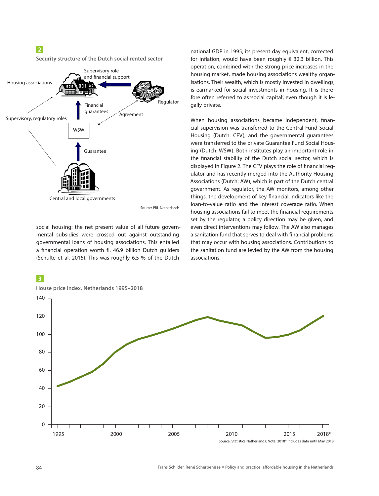### **2**

**Security structure of the Dutch social rented sector**



Source: PBL Netherlands

social housing: the net present value of all future governmental subsidies were crossed out against outstanding governmental loans of housing associations. This entailed a financial operation worth fl. 46.9 billion Dutch guilders (Schulte et al. 2015). This was roughly 6.5 % of the Dutch

### **3**

**House price index, Netherlands 1995–2018** 140 120 100 80 60 40 20  $\Omega$ ┱ 1995 2000 2005 2010 2015 2018\*

Source: Statistics Netherlands; Note: 2018\* includes data until May 2018



When housing associations became independent, financial supervision was transferred to the Central Fund Social Housing (Dutch: CFV), and the governmental guarantees were transferred to the private Guarantee Fund Social Housing (Dutch: WSW). Both institutes play an important role in the financial stability of the Dutch social sector, which is displayed in Figure 2. The CFV plays the role of financial regulator and has recently merged into the Authority Housing Associations (Dutch: AW), which is part of the Dutch central government. As regulator, the AW monitors, among other things, the development of key financial indicators like the loan-to-value ratio and the interest coverage ratio. When housing associations fail to meet the financial requirements set by the regulator, a policy direction may be given, and even direct interventions may follow. The AW also manages a sanitation fund that serves to deal with financial problems that may occur with housing associations. Contributions to the sanitation fund are levied by the AW from the housing associations.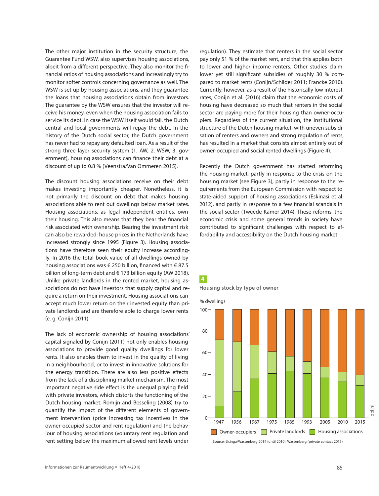The other major institution in the security structure, the Guarantee Fund WSW, also supervises housing associations, albeit from a different perspective. They also monitor the financial ratios of housing associations and increasingly try to monitor softer controls concerning governance as well. The WSW is set up by housing associations, and they guarantee the loans that housing associations obtain from investors. The guarantee by the WSW ensures that the investor will receive his money, even when the housing association fails to service its debt. In case the WSW itself would fail, the Dutch central and local governments will repay the debt. In the history of the Dutch social sector, the Dutch government has never had to repay any defaulted loan. As a result of the strong three layer security system (1. AW, 2. WSW, 3. government), housing associations can finance their debt at a discount of up to 0.8 % (Veenstra/Van Ommeren 2015).

The discount housing associations receive on their debt makes investing importantly cheaper. Nonetheless, it is not primarily the discount on debt that makes housing associations able to rent out dwellings below market rates. Housing associations, as legal independent entities, own their housing. This also means that they bear the financial risk associated with ownership. Bearing the investment risk can also be rewarded: house prices in the Netherlands have increased strongly since 1995 (Figure 3). Housing associations have therefore seen their equity increase accordingly. In 2016 the total book value of all dwellings owned by housing associations was € 250 billion, financed with € 87.5 billion of long-term debt and € 173 billion equity (AW 2018). Unlike private landlords in the rented market, housing associations do not have investors that supply capital and require a return on their investment. Housing associations can accept much lower return on their invested equity than private landlords and are therefore able to charge lower rents (e. g. Conijn 2011).

The lack of economic ownership of housing associations' capital signaled by Conijn (2011) not only enables housing associations to provide good quality dwellings for lower rents. It also enables them to invest in the quality of living in a neighbourhood, or to invest in innovative solutions for the energy transition. There are also less positive effects from the lack of a disciplining market mechanism. The most important negative side effect is the unequal playing field with private investors, which distorts the functioning of the Dutch housing market. Romijn and Besseling (2008) try to quantify the impact of the different elements of government intervention (price increasing tax incentives in the owner-occupied sector and rent regulation) and the behaviour of housing associations (voluntary rent regulation and rent setting below the maximum allowed rent levels under

regulation). They estimate that renters in the social sector pay only 51 % of the market rent, and that this applies both to lower and higher income renters. Other studies claim lower yet still significant subsidies of roughly 30 % compared to market rents (Conijn/Schilder 2011; Francke 2010). Currently, however, as a result of the historically low interest rates, Conijn et al. (2016) claim that the economic costs of housing have decreased so much that renters in the social sector are paying more for their housing than owner-occupiers. Regardless of the current situation, the institutional structure of the Dutch housing market, with uneven subsidisation of renters and owners and strong regulation of rents, has resulted in a market that consists almost entirely out of owner-occupied and social rented dwellings (Figure 4).

Recently the Dutch government has started reforming the housing market, partly in response to the crisis on the housing market (see Figure 3), partly in response to the requirements from the European Commission with respect to state-aided support of housing associations (Eskinasi et al. 2012), and partly in response to a few financial scandals in the social sector (Tweede Kamer 2014). These reforms, the economic crisis and some general trends in society have contributed to significant challenges with respect to affordability and accessibility on the Dutch housing market.



**Housing stock by type of owner**

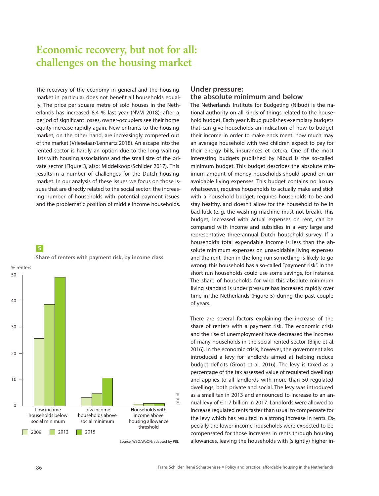## **Economic recovery, but not for all: challenges on the housing market**

The recovery of the economy in general and the housing market in particular does not benefit all households equally. The price per square metre of sold houses in the Netherlands has increased 8.4 % last year (NVM 2018): after a period of significant losses, owner-occupiers see their home equity increase rapidly again. New entrants to the housing market, on the other hand, are increasingly competed out of the market (Vrieselaar/Lennartz 2018). An escape into the rented sector is hardly an option due to the long waiting lists with housing associations and the small size of the private sector (Figure 3, also: Middelkoop/Schilder 2017). This results in a number of challenges for the Dutch housing market. In our analysis of these issues we focus on those issues that are directly related to the social sector: the increasing number of households with potential payment issues and the problematic position of middle income households.





Source: WBO/WoON; adapted by PBL

### **Under pressure: the absolute minimum and below**

The Netherlands Institute for Budgeting (Nibud) is the national authority on all kinds of things related to the household budget. Each year Nibud publishes exemplary budgets that can give households an indication of how to budget their income in order to make ends meet: how much may an average household with two children expect to pay for their energy bills, insurances et cetera. One of the most interesting budgets published by Nibud is the so-called minimum budget. This budget describes the absolute minimum amount of money households should spend on unavoidable living expenses. This budget contains no luxury whatsoever, requires households to actually make and stick with a household budget, requires households to be and stay healthy, and doesn't allow for the household to be in bad luck (e. g. the washing machine must not break). This budget, increased with actual expenses on rent, can be compared with income and subsidies in a very large and representative three-annual Dutch household survey. If a household's total expendable income is less than the absolute minimum expenses on unavoidable living expenses and the rent, then in the long run something is likely to go wrong: this household has a so-called "payment risk". In the short run households could use some savings, for instance. The share of households for who this absolute minimum living standard is under pressure has increased rapidly over time in the Netherlands (Figure 5) during the past couple of years.

There are several factors explaining the increase of the share of renters with a payment risk. The economic crisis and the rise of unemployment have decreased the incomes of many households in the social rented sector (Blijie et al. 2016). In the economic crisis, however, the government also introduced a levy for landlords aimed at helping reduce budget deficits (Groot et al. 2016). The levy is taxed as a percentage of the tax assessed value of regulated dwellings and applies to all landlords with more than 50 regulated dwellings, both private and social. The levy was introduced as a small tax in 2013 and announced to increase to an annual levy of € 1.7 billion in 2017. Landlords were allowed to increase regulated rents faster than usual to compensate for the levy which has resulted in a strong increase in rents. Especially the lower income households were expected to be compensated for those increases in rents through housing allowances, leaving the households with (slightly) higher in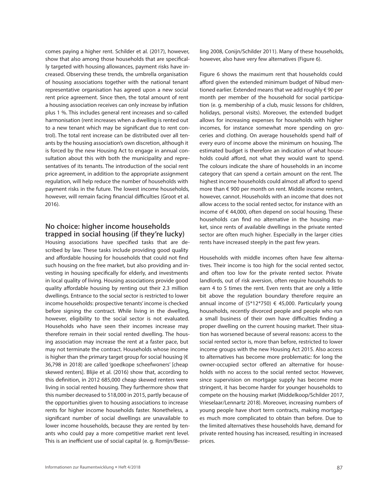comes paying a higher rent. Schilder et al. (2017), however, show that also among those households that are specifically targeted with housing allowances, payment risks have increased. Observing these trends, the umbrella organisation of housing associations together with the national tenant representative organisation has agreed upon a new social rent price agreement. Since then, the total amount of rent a housing association receives can only increase by inflation plus 1 %. This includes general rent increases and so-called harmonisation (rent increases when a dwelling is rented out to a new tenant which may be significant due to rent control). The total rent increase can be distributed over all tenants by the housing association's own discretion, although it is forced by the new Housing Act to engage in annual consultation about this with both the municipality and representatives of its tenants. The introduction of the social rent price agreement, in addition to the appropriate assignment regulation, will help reduce the number of households with payment risks in the future. The lowest income households, however, will remain facing financial difficulties (Groot et al. 2016).

#### **No choice: higher income households trapped in social housing (if they're lucky)**

Housing associations have specified tasks that are described by law. These tasks include providing good quality and affordable housing for households that could not find such housing on the free market, but also providing and investing in housing specifically for elderly, and investments in local quality of living. Housing associations provide good quality affordable housing by renting out their 2.3 million dwellings. Entrance to the social sector is restricted to lower income households: prospective tenants' income is checked before signing the contract. While living in the dwelling, however, eligibility to the social sector is not evaluated. Households who have seen their incomes increase may therefore remain in their social rented dwelling. The housing association may increase the rent at a faster pace, but may not terminate the contract. Households whose income is higher than the primary target group for social housing ( $\epsilon$ 36,798 in 2018) are called 'goedkope scheefwoners' [cheap skewed renters]. Blijie et al. (2016) show that, according to this definition, in 2012 685,000 cheap skewed renters were living in social rented housing. They furthermore show that this number decreased to 518,000 in 2015, partly because of the opportunities given to housing associations to increase rents for higher income households faster. Nonetheless, a significant number of social dwellings are unavailable to lower income households, because they are rented by tenants who could pay a more competitive market rent level. This is an inefficient use of social capital (e. g. Romijn/Besseling 2008, Conijn/Schilder 2011). Many of these households, however, also have very few alternatives (Figure 6).

Figure 6 shows the maximum rent that households could afford given the extended minimum budget of Nibud mentioned earlier. Extended means that we add roughly € 90 per month per member of the household for social participation (e. g. membership of a club, music lessons for children, holidays, personal visits). Moreover, the extended budget allows for increasing expenses for households with higher incomes, for instance somewhat more spending on groceries and clothing. On average households spend half of every euro of income above the minimum on housing. The estimated budget is therefore an indication of what households could afford, not what they would want to spend. The colours indicate the share of households in an income category that can spend a certain amount on the rent. The highest income households could almost all afford to spend more than € 900 per month on rent. Middle income renters, however, cannot. Households with an income that does not allow access to the social rented sector, for instance with an income of € 44,000, often depend on social housing. These households can find no alternative in the housing market, since rents of available dwellings in the private rented sector are often much higher. Especially in the larger cities rents have increased steeply in the past few years.

Households with middle incomes often have few alternatives. Their income is too high for the social rented sector, and often too low for the private rented sector. Private landlords, out of risk aversion, often require households to earn 4 to 5 times the rent. Even rents that are only a little bit above the regulation boundary therefore require an annual income of  $(5*12*750) \in 45,000$ . Particularly young households, recently divorced people and people who run a small business of their own have difficulties finding a proper dwelling on the current housing market. Their situation has worsened because of several reasons: access to the social rented sector is, more than before, restricted to lower income groups with the new Housing Act 2015. Also access to alternatives has become more problematic: for long the owner-occupied sector offered an alternative for households with no access to the social rented sector. However, since supervision on mortgage supply has become more stringent, it has become harder for younger households to compete on the housing market (Middelkoop/Schilder 2017, Vrieselaar/Lennartz 2018). Moreover, increasing numbers of young people have short term contracts, making mortgages much more complicated to obtain than before. Due to the limited alternatives these households have, demand for private rented housing has increased, resulting in increased prices.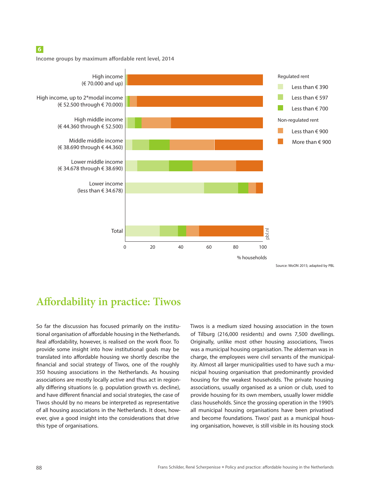### **6**

**Income groups by maximum affordable rent level, 2014**



### **Affordability in practice: Tiwos**

So far the discussion has focused primarily on the institutional organisation of affordable housing in the Netherlands. Real affordability, however, is realised on the work floor. To provide some insight into how institutional goals may be translated into affordable housing we shortly describe the financial and social strategy of Tiwos, one of the roughly 350 housing associations in the Netherlands. As housing associations are mostly locally active and thus act in regionally differing situations (e. g. population growth vs. decline), and have different financial and social strategies, the case of Tiwos should by no means be interpreted as representative of all housing associations in the Netherlands. It does, however, give a good insight into the considerations that drive this type of organisations.

Tiwos is a medium sized housing association in the town of Tilburg (216,000 residents) and owns 7,500 dwellings. Originally, unlike most other housing associations, Tiwos was a municipal housing organisation. The alderman was in charge, the employees were civil servants of the municipality. Almost all larger municipalities used to have such a municipal housing organisation that predominantly provided housing for the weakest households. The private housing associations, usually organised as a union or club, used to provide housing for its own members, usually lower middle class households. Since the grossing operation in the 1990's all municipal housing organisations have been privatised and become foundations. Tiwos' past as a municipal housing organisation, however, is still visible in its housing stock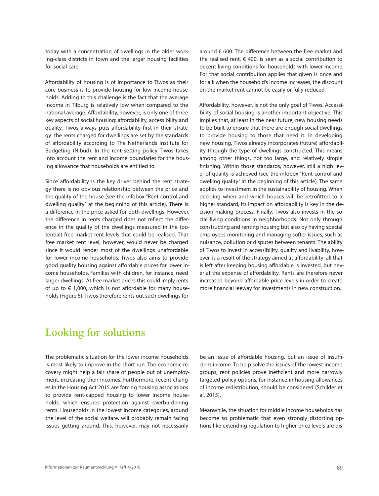today with a concentration of dwellings in the older working-class districts in town and the larger housing facilities for social care.

Affordability of housing is of importance to Tiwos as their core business is to provide housing for low income households. Adding to this challenge is the fact that the average income in Tilburg is relatively low when compared to the national average. Affordability, however, is only one of three key aspects of social housing: affordability, accessibility and quality. Tiwos always puts affordability first in their strategy: the rents charged for dwellings are set by the standards of affordability according to The Netherlands Institute for Budgeting (Nibud). In the rent setting policy Tiwos takes into account the rent and income boundaries for the housing allowance that households are entitled to.

Since affordability is the key driver behind the rent strategy there is no obvious relationship between the price and the quality of the house (see the infobox "Rent control and dwelling quality" at the beginning of this article). There is a difference in the price asked for both dwellings. However, the difference in rents charged does not reflect the difference in the quality of the dwellings measured in the (potential) free market rent levels that could be realised. That free market rent level, however, would never be charged since it would render most of the dwellings unaffordable for lower income households. Tiwos also aims to provide good quality housing against affordable prices for lower income households. Families with children, for instance, need larger dwellings. At free market prices this could imply rents of up to  $\epsilon$  1,000, which is not affordable for many households (Figure 6). Tiwos therefore rents out such dwellings for around € 600. The difference between the free market and the realised rent,  $\epsilon$  400, is seen as a social contribution to decent living conditions for households with lower income. For that social contribution applies that given is once and for all: when the household's income increases, the discount on the market rent cannot be easily or fully reduced.

Affordability, however, is not the only goal of Tiwos. Accessibility of social housing is another important objective. This implies that, at least in the near future, new housing needs to be built to ensure that there are enough social dwellings to provide housing to those that need it. In developing new housing, Tiwos already incorporates (future) affordability through the type of dwellings constructed. This means, among other things, not too large, and relatively simple finishing. Within those standards, however, still a high level of quality is achieved (see the infobox "Rent control and dwelling quality" at the beginning of this article). The same applies to investment in the sustainability of housing. When deciding when and which houses will be retrofitted to a higher standard, its impact on affordability is key in the decision making process. Finally, Tiwos also invests in the social living conditions in neighborhoods. Not only through constructing and renting housing but also by having special employees monitoring and managing softer issues, such as nuisance, pollution or disputes between tenants. The ability of Tiwos to invest in accessibility, quality and livability, however, is a result of the strategy aimed at affordability: all that is left after keeping housing affordable is invested, but never at the expense of affordability. Rents are therefore never increased beyond affordable price levels in order to create more financial leeway for investments in new construction.

### **Looking for solutions**

The problematic situation for the lower income households is most likely to improve in the short run. The economic recovery might help a fair share of people out of unemployment, increasing their incomes. Furthermore, recent changes in the Housing Act 2015 are forcing housing associations to provide rent-capped housing to lower income households, which ensures protection against overburdening rents. Households in the lowest income categories, around the level of the social welfare, will probably remain facing issues getting around. This, however, may not necessarily

be an issue of affordable housing, but an issue of insufficient income. To help solve the issues of the lowest income groups, rent policies prove inefficient and more narrowly targeted policy options, for instance in housing allowances of income redistribution, should be considered (Schilder et al. 2015).

Meanwhile, the situation for middle income households has become so problematic that even strongly distorting options like extending regulation to higher price levels are dis-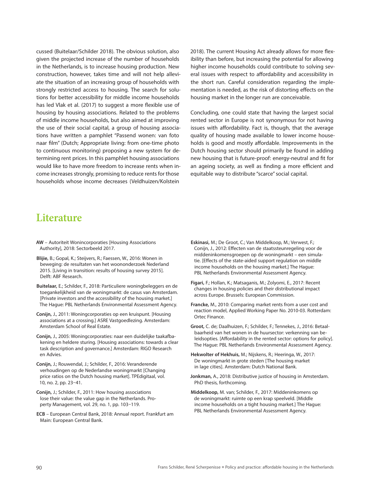cussed (Buitelaar/Schilder 2018). The obvious solution, also given the projected increase of the number of households in the Netherlands, is to increase housing production. New construction, however, takes time and will not help alleviate the situation of an increasing group of households with strongly restricted access to housing. The search for solutions for better accessibility for middle income households has led Vlak et al. (2017) to suggest a more flexible use of housing by housing associations. Related to the problems of middle income households, but also aimed at improving the use of their social capital, a group of housing associations have written a pamphlet "Passend wonen: van foto naar film" (Dutch; Appropriate living: from one-time photo to continuous monitoring) proposing a new system for determining rent prices. In this pamphlet housing associations would like to have more freedom to increase rents when income increases strongly, promising to reduce rents for those households whose income decreases (Veldhuizen/Kolstein

### 2018). The current Housing Act already allows for more flexibility than before, but increasing the potential for allowing higher income households could contribute to solving several issues with respect to affordability and accessibility in the short run. Careful consideration regarding the implementation is needed, as the risk of distorting effects on the housing market in the longer run are conceivable.

Concluding, one could state that having the largest social rented sector in Europe is not synonymous for not having issues with affordability. Fact is, though, that the average quality of housing made available to lower income households is good and mostly affordable. Improvements in the Dutch housing sector should primarily be found in adding new housing that is future-proof: energy-neutral and fit for an ageing society, as well as finding a more efficient and equitable way to distribute "scarce" social capital.

### **Literature**

- **AW** Autoriteit Wonincorporaties [Housing Associations Authority], 2018: Sectorbeeld 2017.
- **Blijie,** B.; Gopal, K.; Steijvers, R.; Faessen, W., 2016: Wonen in beweging: de resultaten van het woononderzoek Nederland 2015. [Living in transition: results of housing survey 2015]. Delft: ABF Research.
- **Buitelaar,** E.; Schilder, F., 2018: Particuliere woningbeleggers en de toegankelijkheid van de woningmarkt: de casus van Amsterdam. [Private investors and the accessibility of the housing market.] The Hague: PBL Netherlands Environmental Assessment Agency.
- **Conijn,** J., 2011: Woningcorporaties op een kruispunt. [Housing associations at a crossing.] ASRE Vastgoedlezing. Amsterdam: Amsterdam School of Real Estate.
- **Conijn,** J., 2005: Woningcorporaties: naar een duidelijke taakafbakening en heldere sturing. [Housing associations: towards a clear task description and governance.] Amsterdam: RIGO Research en Advies.
- **Conijn,** J.; Rouwendal, J.; Schilder, F., 2016: Veranderende verhoudingen op de Nederlandse woningmarkt [Changing price ratios on the Dutch housing market]. TPEdigitaal, vol. 10, no. 2, pp. 23–41.
- **Conijn, J.: Schilder, F., 2011: How housing associations** lose their value: the value gap in the Netherlands. Property Management, vol. 29, no. 1, pp. 103–119.
- **ECB** European Central Bank, 2018: Annual report. Frankfurt am Main: European Central Bank.
- **Eskinasi,** M.; De Groot, C.; Van Middelkoop, M.; Verwest, F.; Conijn, J., 2012: Effecten van de staatssteunregeling voor de middeninkomensgroepen op de woningmarkt – een simulatie. [Effects of the state-aided support regulation on middle income households on the housing market.] The Hague: PBL Netherlands Environmental Assessment Agency.
- **Figari,** F.; Hollan, K.; Matsaganis, M.; Zolyomi, E., 2017: Recent changes in housing policies and their distributional impact across Europe. Brussels: European Commission.
- **Francke,** M., 2010: Comparing market rents from a user cost and reaction model, Applied Working Paper No. 2010-03. Rotterdam: Ortec Finance.
- **Groot,** C. de; Daalhuizen, F.; Schilder, F.; Tennekes, J., 2016: Betaalbaarheid van het wonen in de huursector: verkenning van beleidsopties. [Affordability in the rented sector: options for policy]. The Hague: PBL Netherlands Environmental Assessment Agency.
- **Hekwolter of Hekhuis,** M.; Nijskens, R.; Heeringa, W., 2017: De woningmarkt in grote steden [The housing market in lage cities]. Amsterdam: Dutch National Bank.
- **Jonkman,** A., 2018: Distributive justice of housing in Amsterdam. PhD thesis, forthcoming.
- **Middelkoop,** M. van; Schilder, F., 2017: Middeninkomens op de woningmarkt: ruimte op een krap speelveld. [Middle income households on a tight housing market.] The Hague: PBL Netherlands Environmental Assessment Agency.